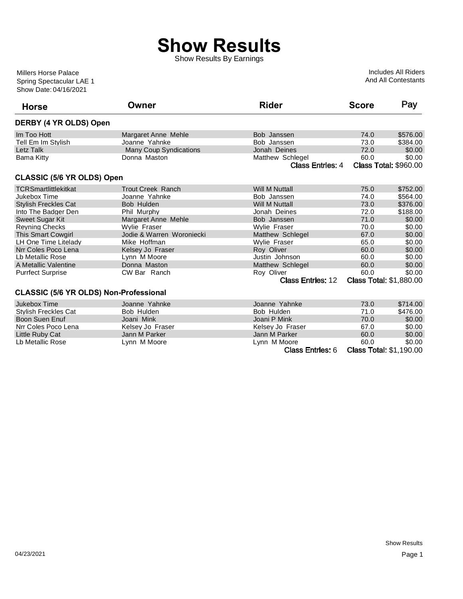## **Show Results**

Show Results By Earnings

Show Date: 04/16/2021 Spring Spectacular LAE 1 Millers Horse Palace

Includes All Riders And All Contestants

| <b>Horse</b>                                  | Owner                         | <b>Rider</b>             | <b>Score</b> | Pay                            |
|-----------------------------------------------|-------------------------------|--------------------------|--------------|--------------------------------|
| DERBY (4 YR OLDS) Open                        |                               |                          |              |                                |
| Im Too Hott                                   | Margaret Anne Mehle           | Bob Janssen              | 74.0         | \$576.00                       |
| Tell Em Im Stylish                            | Joanne Yahnke                 | Bob Janssen              | 73.0         | \$384.00                       |
| Letz Talk                                     | <b>Many Coup Syndications</b> | Jonah Deines             | 72.0         | \$0.00                         |
| Bama Kitty                                    | Donna Maston                  | Matthew Schlegel         | 60.0         | \$0.00                         |
|                                               |                               | Class Entries: 4         |              | <b>Class Total: \$960.00</b>   |
| <b>CLASSIC (5/6 YR OLDS) Open</b>             |                               |                          |              |                                |
| <b>TCRSmartlittlekitkat</b>                   | <b>Trout Creek Ranch</b>      | Will M Nuttall           | 75.0         | \$752.00                       |
| Jukebox Time                                  | Joanne Yahnke                 | Bob Janssen              | 74.0         | \$564.00                       |
| <b>Stylish Freckles Cat</b>                   | Bob Hulden                    | <b>Will M Nuttall</b>    | 73.0         | \$376.00                       |
| Into The Badger Den                           | Phil Murphy                   | Jonah Deines             | 72.0         | \$188.00                       |
| <b>Sweet Sugar Kit</b>                        | Margaret Anne Mehle           | Bob Janssen              | 71.0         | \$0.00                         |
| <b>Revning Checks</b>                         | <b>Wylie Fraser</b>           | <b>Wylie Fraser</b>      | 70.0         | \$0.00                         |
| <b>This Smart Cowgirl</b>                     | Jodie & Warren Woroniecki     | Matthew Schlegel         | 67.0         | \$0.00                         |
| LH One Time Litelady                          | Mike Hoffman                  | <b>Wylie Fraser</b>      | 65.0         | \$0.00                         |
| Nrr Coles Poco Lena                           | Kelsey Jo Fraser              | Roy Oliver               | 60.0         | \$0.00                         |
| Lb Metallic Rose                              | Lynn M Moore                  | Justin Johnson           | 60.0         | \$0.00                         |
| A Metallic Valentine                          | Donna Maston                  | Matthew Schlegel         | 60.0         | \$0.00                         |
| <b>Purrfect Surprise</b>                      | CW Bar Ranch                  | Roy Oliver               | 60.0         | \$0.00                         |
|                                               |                               | <b>Class Entries: 12</b> |              | <b>Class Total: \$1,880.00</b> |
| <b>CLASSIC (5/6 YR OLDS) Non-Professional</b> |                               |                          |              |                                |
| Jukebox Time                                  | Joanne Yahnke                 | Joanne Yahnke            | 73.0         | \$714.00                       |
| <b>Stylish Freckles Cat</b>                   | Bob Hulden                    | Bob Hulden               | 71.0         | \$476.00                       |
| Boon Suen Enuf                                | Joani Mink                    | Joani P Mink             | 70.0         | \$0.00                         |
| Nrr Coles Poco Lena                           | Kelsey Jo Fraser              | Kelsev Jo Fraser         | 67.0         | \$0.00                         |
| Little Ruby Cat                               | Jann M Parker                 | Jann M Parker            | 60.0         | \$0.00                         |
| Lb Metallic Rose                              | Lynn M Moore                  | Lynn M Moore             | 60.0         | \$0.00                         |
|                                               |                               | Class Entries: 6         |              | <b>Class Total: \$1,190.00</b> |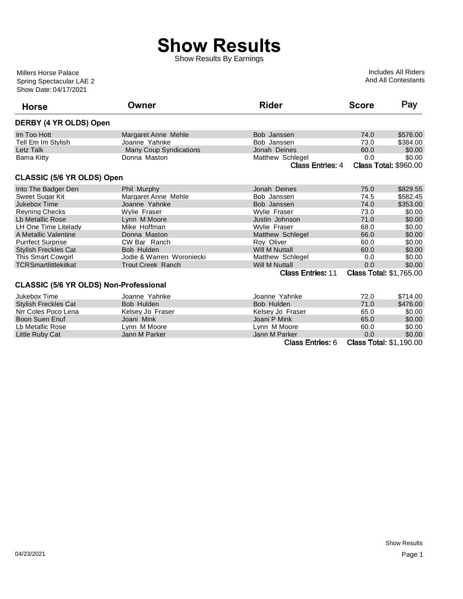## **Show Results**

Show Results By Earnings

Show Date: 04/17/2021 Spring Spectacular LAE 2 Millers Horse Palace

Includes All Riders And All Contestants

| <b>Horse</b>                           | Owner                     | <b>Rider</b>             | <b>Score</b> | Pay                            |
|----------------------------------------|---------------------------|--------------------------|--------------|--------------------------------|
| DERBY (4 YR OLDS) Open                 |                           |                          |              |                                |
| Im Too Hott                            | Margaret Anne Mehle       | Bob Janssen              | 74.0         | \$576.00                       |
| Tell Em Im Stylish                     | Joanne Yahnke             | Bob Janssen              | 73.0         | \$384.00                       |
| Letz Talk                              | Many Coup Syndications    | Jonah Deines             | 60.0         | \$0.00                         |
| Bama Kitty                             | Donna Maston              | Matthew Schlegel         | 0.0          | \$0.00                         |
|                                        |                           | <b>Class Entries: 4</b>  |              | <b>Class Total: \$960.00</b>   |
| <b>CLASSIC (5/6 YR OLDS) Open</b>      |                           |                          |              |                                |
| Into The Badger Den                    | Phil Murphy               | Jonah Deines             | 75.0         | \$829.55                       |
| Sweet Sugar Kit                        | Margaret Anne Mehle       | Bob Janssen              | 74.5         | \$582.45                       |
| Jukebox Time                           | Joanne Yahnke             | Bob Janssen              | 74.0         | \$353.00                       |
| <b>Reyning Checks</b>                  | Wylie Fraser              | Wylie Fraser             | 73.0         | \$0.00                         |
| Lb Metallic Rose                       | Lynn M Moore              | Justin Johnson           | 71.0         | \$0.00                         |
| LH One Time Litelady                   | Mike Hoffman              | Wylie Fraser             | 68.0         | \$0.00                         |
| A Metallic Valentine                   | Donna Maston              | Matthew Schlegel         | 66.0         | \$0.00                         |
| <b>Purrfect Surprise</b>               | CW Bar Ranch              | Roy Oliver               | 60.0         | \$0.00                         |
| <b>Stylish Freckles Cat</b>            | Bob Hulden                | <b>Will M Nuttall</b>    | 60.0         | \$0.00                         |
| <b>This Smart Cowgirl</b>              | Jodie & Warren Woroniecki | Matthew Schlegel         | 0.0          | \$0.00                         |
| <b>TCRSmartlittlekitkat</b>            | <b>Trout Creek Ranch</b>  | <b>Will M Nuttall</b>    | 0.0          | \$0.00                         |
|                                        |                           | <b>Class Entries: 11</b> |              | <b>Class Total: \$1,765.00</b> |
| CLASSIC (5/6 YR OLDS) Non-Professional |                           |                          |              |                                |
| Jukebox Time                           | Joanne Yahnke             | Joanne Yahnke            | 72.0         | \$714.00                       |
| <b>Stylish Freckles Cat</b>            | Bob Hulden                | Bob Hulden               | 71.0         | \$476.00                       |
| Nrr Coles Poco Lena                    | Kelsey Jo Fraser          | Kelsey Jo Fraser         | 65.0         | \$0.00                         |
| <b>Boon Suen Enuf</b>                  | Joani Mink                | Joani P Mink             | 65.0         | \$0.00                         |
| Lb Metallic Rose                       | Lynn M Moore              | Lynn M Moore             | 60.0         | \$0.00                         |
| Little Ruby Cat                        | Jann M Parker             | Jann M Parker            | 0.0          | \$0.00                         |
|                                        |                           | <b>Class Entries: 6</b>  |              | <b>Class Total: \$1,190.00</b> |